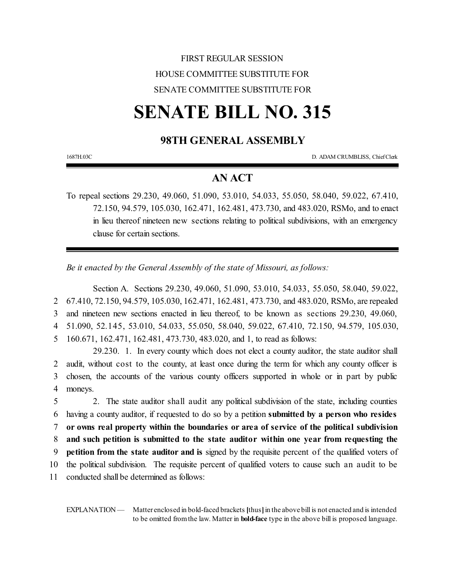## FIRST REGULAR SESSION HOUSE COMMITTEE SUBSTITUTE FOR SENATE COMMITTEE SUBSTITUTE FOR

# **SENATE BILL NO. 315**

## **98TH GENERAL ASSEMBLY**

1687H.03C D. ADAM CRUMBLISS, ChiefClerk

## **AN ACT**

To repeal sections 29.230, 49.060, 51.090, 53.010, 54.033, 55.050, 58.040, 59.022, 67.410, 72.150, 94.579, 105.030, 162.471, 162.481, 473.730, and 483.020, RSMo, and to enact in lieu thereof nineteen new sections relating to political subdivisions, with an emergency clause for certain sections.

*Be it enacted by the General Assembly of the state of Missouri, as follows:*

Section A. Sections 29.230, 49.060, 51.090, 53.010, 54.033, 55.050, 58.040, 59.022, 67.410, 72.150, 94.579, 105.030, 162.471, 162.481, 473.730, and 483.020, RSMo, are repealed and nineteen new sections enacted in lieu thereof, to be known as sections 29.230, 49.060, 51.090, 52.145, 53.010, 54.033, 55.050, 58.040, 59.022, 67.410, 72.150, 94.579, 105.030, 160.671, 162.471, 162.481, 473.730, 483.020, and 1, to read as follows:

29.230. 1. In every county which does not elect a county auditor, the state auditor shall 2 audit, without cost to the county, at least once during the term for which any county officer is 3 chosen, the accounts of the various county officers supported in whole or in part by public 4 moneys.

 2. The state auditor shall audit any political subdivision of the state, including counties having a county auditor, if requested to do so by a petition **submitted by a person who resides or owns real property within the boundaries or area of service of the political subdivision and such petition is submitted to the state auditor within one year from requesting the petition from the state auditor and is** signed by the requisite percent of the qualified voters of the political subdivision. The requisite percent of qualified voters to cause such an audit to be conducted shall be determined as follows:

EXPLANATION — Matter enclosed in bold-faced brackets [thus] in the above bill is not enacted and is intended to be omitted fromthe law. Matter in **bold-face** type in the above bill is proposed language.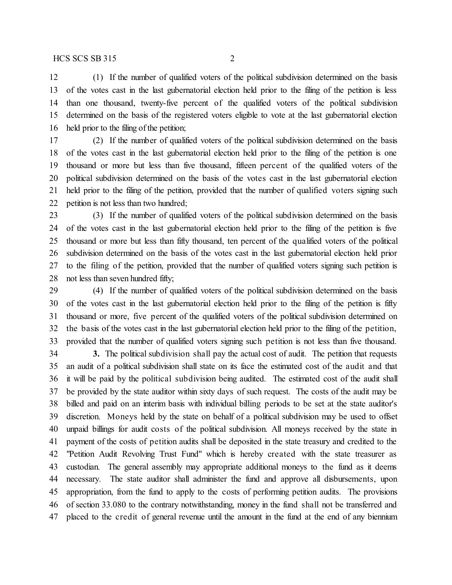(1) If the number of qualified voters of the political subdivision determined on the basis of the votes cast in the last gubernatorial election held prior to the filing of the petition is less than one thousand, twenty-five percent of the qualified voters of the political subdivision determined on the basis of the registered voters eligible to vote at the last gubernatorial election held prior to the filing of the petition;

 (2) If the number of qualified voters of the political subdivision determined on the basis of the votes cast in the last gubernatorial election held prior to the filing of the petition is one thousand or more but less than five thousand, fifteen percent of the qualified voters of the political subdivision determined on the basis of the votes cast in the last gubernatorial election held prior to the filing of the petition, provided that the number of qualified voters signing such petition is not less than two hundred;

 (3) If the number of qualified voters of the political subdivision determined on the basis of the votes cast in the last gubernatorial election held prior to the filing of the petition is five thousand or more but less than fifty thousand, ten percent of the qualified voters of the political subdivision determined on the basis of the votes cast in the last gubernatorial election held prior to the filing of the petition, provided that the number of qualified voters signing such petition is not less than seven hundred fifty;

 (4) If the number of qualified voters of the political subdivision determined on the basis of the votes cast in the last gubernatorial election held prior to the filing of the petition is fifty thousand or more, five percent of the qualified voters of the political subdivision determined on the basis of the votes cast in the last gubernatorial election held prior to the filing of the petition, provided that the number of qualified voters signing such petition is not less than five thousand.

 **3.** The political subdivision shall pay the actual cost of audit. The petition that requests an audit of a political subdivision shall state on its face the estimated cost of the audit and that it will be paid by the political subdivision being audited. The estimated cost of the audit shall be provided by the state auditor within sixty days of such request. The costs of the audit may be billed and paid on an interim basis with individual billing periods to be set at the state auditor's discretion. Moneys held by the state on behalf of a political subdivision may be used to offset unpaid billings for audit costs of the political subdivision. All moneys received by the state in payment of the costs of petition audits shall be deposited in the state treasury and credited to the "Petition Audit Revolving Trust Fund" which is hereby created with the state treasurer as custodian. The general assembly may appropriate additional moneys to the fund as it deems necessary. The state auditor shall administer the fund and approve all disbursements, upon appropriation, from the fund to apply to the costs of performing petition audits. The provisions of section 33.080 to the contrary notwithstanding, money in the fund shall not be transferred and placed to the credit of general revenue until the amount in the fund at the end of any biennium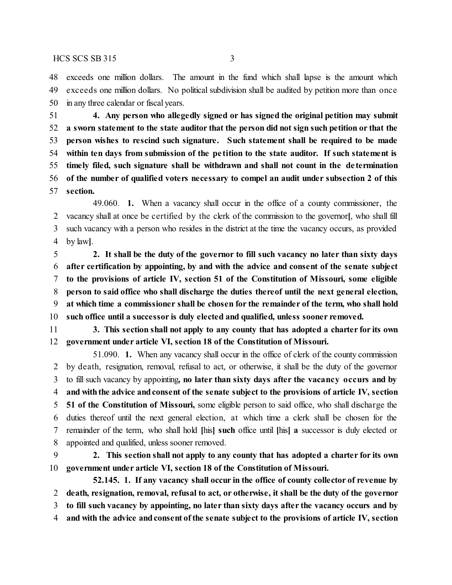exceeds one million dollars. The amount in the fund which shall lapse is the amount which exceeds one million dollars. No political subdivision shall be audited by petition more than once in any three calendar or fiscal years.

 **4. Any person who allegedly signed or has signed the original petition may submit a sworn statement to the state auditor that the person did not sign such petition or that the person wishes to rescind such signature. Such statement shall be required to be made within ten days from submission of the pe tition to the state auditor. If such statement is timely filed, such signature shall be withdrawn and shall not count in the de termination of the number of qualified voters necessary to compel an audit under subsection 2 of this section.**

49.060. **1.** When a vacancy shall occur in the office of a county commissioner, the vacancy shall at once be certified by the clerk of the commission to the governor**[**, who shall fill such vacancy with a person who resides in the district at the time the vacancy occurs, as provided by law**]**.

 **2. It shall be the duty of the governor to fill such vacancy no later than sixty days after certification by appointing, by and with the advice and consent of the senate subject to the provisions of article IV, section 51 of the Constitution of Missouri, some eligible person to said office who shall discharge the duties thereof until the next general election, at which time a commissioner shall be chosen for the remainder of the term, who shall hold such office until a successor is duly elected and qualified, unless sooner removed.**

 **3. This section shall not apply to any county that has adopted a charter for its own government under article VI, section 18 of the Constitution of Missouri.**

51.090. **1.** When any vacancy shall occur in the office of clerk of the county commission by death, resignation, removal, refusal to act, or otherwise, it shall be the duty of the governor to fill such vacancy by appointing**, no later than sixty days after the vacancy occurs and by and withthe advice andconsent of the senate subject to the provisions of article IV, section 51 of the Constitution of Missouri,** some eligible person to said office, who shall discharge the duties thereof until the next general election, at which time a clerk shall be chosen for the remainder of the term, who shall hold **[**his**] such** office until **[**his**] a** successor is duly elected or appointed and qualified, unless sooner removed.

 **2. This section shall not apply to any county that has adopted a charter for its own government under article VI, section 18 of the Constitution of Missouri.**

**52.145. 1. If any vacancy shall occur in the office of county collector of revenue by death, resignation, removal, refusal to act, or otherwise, it shall be the duty of the governor to fill such vacancy by appointing, no later than sixty days after the vacancy occurs and by and with the advice andconsent ofthe senate subject to the provisions of article IV, section**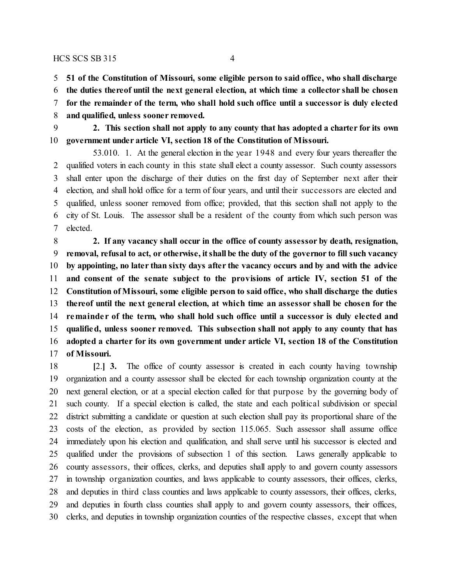**51 of the Constitution of Missouri, some eligible person to said office, who shall discharge**

**the duties thereof until the next general election, at which time a collector shall be chosen**

**for the remainder of the term, who shall hold such office until a successor is duly elected**

- **and qualified, unless sooner removed.**
- **2. This section shall not apply to any county that has adopted a charter for its own government under article VI, section 18 of the Constitution of Missouri.**

53.010. 1. At the general election in the year 1948 and every four years thereafter the qualified voters in each county in this state shall elect a county assessor. Such county assessors shall enter upon the discharge of their duties on the first day of September next after their election, and shall hold office for a term of four years, and until their successors are elected and qualified, unless sooner removed from office; provided, that this section shall not apply to the city of St. Louis. The assessor shall be a resident of the county from which such person was elected.

 **2. If any vacancy shall occur in the office of county assessor by death, resignation, removal, refusal to act, or otherwise, itshall be the duty of the governor to fill such vacancy by appointing, no later than sixty days after the vacancy occurs and by and with the advice and consent of the senate subject to the provisions of article IV, section 51 of the Constitution of Missouri, some eligible person to said office, who shall discharge the duties thereof until the next general election, at which time an assessor shall be chosen for the remainde r of the term, who shall hold such office until a successor is duly elected and qualified, unless sooner removed. This subsection shall not apply to any county that has adopted a charter for its own government under article VI, section 18 of the Constitution of Missouri.**

 **[**2.**] 3.** The office of county assessor is created in each county having township organization and a county assessor shall be elected for each township organization county at the next general election, or at a special election called for that purpose by the governing body of such county. If a special election is called, the state and each political subdivision or special district submitting a candidate or question at such election shall pay its proportional share of the costs of the election, as provided by section 115.065. Such assessor shall assume office immediately upon his election and qualification, and shall serve until his successor is elected and qualified under the provisions of subsection 1 of this section. Laws generally applicable to county assessors, their offices, clerks, and deputies shall apply to and govern county assessors in township organization counties, and laws applicable to county assessors, their offices, clerks, and deputies in third class counties and laws applicable to county assessors, their offices, clerks, and deputies in fourth class counties shall apply to and govern county assessors, their offices, clerks, and deputies in township organization counties of the respective classes, except that when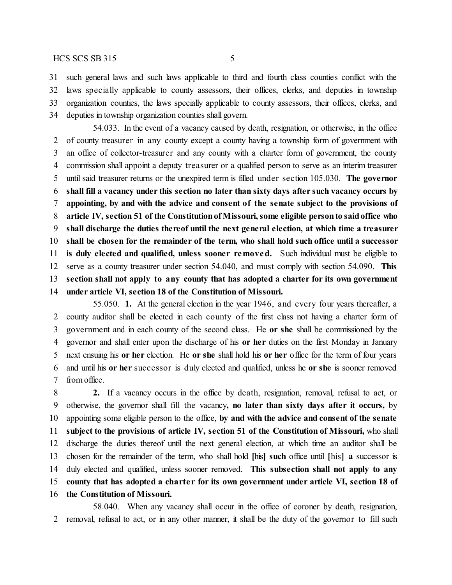such general laws and such laws applicable to third and fourth class counties conflict with the laws specially applicable to county assessors, their offices, clerks, and deputies in township organization counties, the laws specially applicable to county assessors, their offices, clerks, and deputies in township organization counties shall govern.

54.033. In the event of a vacancy caused by death, resignation, or otherwise, in the office of county treasurer in any county except a county having a township form of government with an office of collector-treasurer and any county with a charter form of government, the county commission shall appoint a deputy treasurer or a qualified person to serve as an interim treasurer until said treasurer returns or the unexpired term is filled under section 105.030. **The governor shall fill a vacancy under this section no later than sixty days after such vacancy occurs by appointing, by and with the advice and consent of the senate subject to the provisions of article IV, section 51 of the Constitutionof Missouri,some eligible personto saidoffice who shall discharge the duties thereof until the next general election, at which time a treasurer shall be chosen for the remainder of the term, who shall hold such office until a successor is duly elected and qualified, unless sooner removed.** Such individual must be eligible to serve as a county treasurer under section 54.040, and must comply with section 54.090. **This section shall not apply to any county that has adopted a charter for its own government under article VI, section 18 of the Constitution of Missouri.**

55.050. **1.** At the general election in the year 1946, and every four years thereafter, a county auditor shall be elected in each county of the first class not having a charter form of government and in each county of the second class. He **or she** shall be commissioned by the governor and shall enter upon the discharge of his **or her** duties on the first Monday in January next ensuing his **or her** election. He **or she** shall hold his **or her** office for the term of four years and until his **or her** successor is duly elected and qualified, unless he **or she** is sooner removed from office.

 **2.** If a vacancy occurs in the office by death, resignation, removal, refusal to act, or otherwise, the governor shall fill the vacancy**, no later than sixty days after it occurs,** by appointing some eligible person to the office, **by and with the advice and consent of the senate subject to the provisions of article IV, section 51 of the Constitution of Missouri,** who shall discharge the duties thereof until the next general election, at which time an auditor shall be chosen for the remainder of the term, who shall hold **[**his**] such** office until **[**his**] a** successor is duly elected and qualified, unless sooner removed. **This subsection shall not apply to any county that has adopted a charte r for its own government under article VI, section 18 of the Constitution of Missouri.**

58.040. When any vacancy shall occur in the office of coroner by death, resignation, removal, refusal to act, or in any other manner, it shall be the duty of the governor to fill such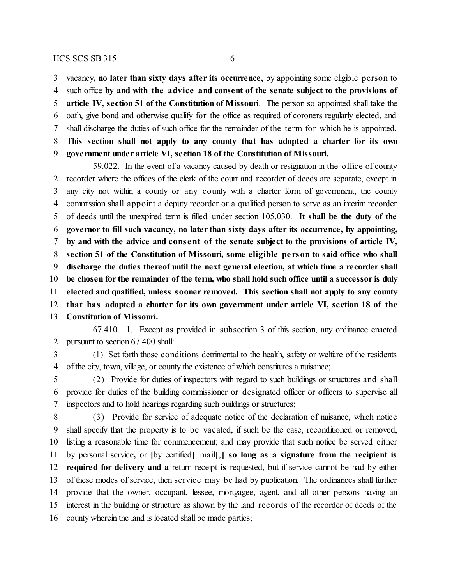vacancy**, no later than sixty days after its occurrence,** by appointing some eligible person to

such office **by and with the advice and consent of the senate subject to the provisions of**

**article IV, section 51 of the Constitution of Missouri**. The person so appointed shall take the

 oath, give bond and otherwise qualify for the office as required of coroners regularly elected, and shall discharge the duties of such office for the remainder of the term for which he is appointed.

 **This section shall not apply to any county that has adopted a charter for its own government under article VI, section 18 of the Constitution of Missouri.**

59.022. In the event of a vacancy caused by death or resignation in the office of county recorder where the offices of the clerk of the court and recorder of deeds are separate, except in any city not within a county or any county with a charter form of government, the county commission shall appoint a deputy recorder or a qualified person to serve as an interim recorder of deeds until the unexpired term is filled under section 105.030. **It shall be the duty of the governor to fill such vacancy, no later than sixty days after its occurrence, by appointing, by and with the advice and cons ent of the senate subject to the provisions of article IV, section 51 of the Constitution of Missouri, some eligible pe rson to said office who shall discharge the duties thereof until the next general election, at which time a recorder shall be chosen for the remainder of the term, who shall hold such office until a successor is duly elected and qualified, unless sooner removed. This section shall not apply to any county that has adopted a charter for its own government under article VI, section 18 of the Constitution of Missouri.**

67.410. 1. Except as provided in subsection 3 of this section, any ordinance enacted pursuant to section 67.400 shall:

 (1) Set forth those conditions detrimental to the health, safety or welfare of the residents of the city, town, village, or county the existence of which constitutes a nuisance;

 (2) Provide for duties of inspectors with regard to such buildings or structures and shall provide for duties of the building commissioner or designated officer or officers to supervise all inspectors and to hold hearings regarding such buildings or structures;

 (3) Provide for service of adequate notice of the declaration of nuisance, which notice shall specify that the property is to be vacated, if such be the case, reconditioned or removed, listing a reasonable time for commencement; and may provide that such notice be served either by personal service**,** or **[**by certified**]** mail**[**,**] so long as a signature from the recipient is required for delivery and a** return receipt **is** requested, but if service cannot be had by either of these modes of service, then service may be had by publication. The ordinances shall further provide that the owner, occupant, lessee, mortgagee, agent, and all other persons having an interest in the building or structure as shown by the land records of the recorder of deeds of the county wherein the land is located shall be made parties;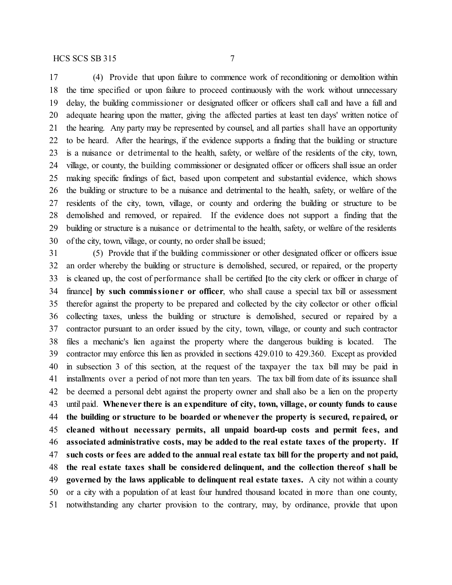(4) Provide that upon failure to commence work of reconditioning or demolition within the time specified or upon failure to proceed continuously with the work without unnecessary delay, the building commissioner or designated officer or officers shall call and have a full and adequate hearing upon the matter, giving the affected parties at least ten days' written notice of the hearing. Any party may be represented by counsel, and all parties shall have an opportunity to be heard. After the hearings, if the evidence supports a finding that the building or structure is a nuisance or detrimental to the health, safety, or welfare of the residents of the city, town, village, or county, the building commissioner or designated officer or officers shall issue an order making specific findings of fact, based upon competent and substantial evidence, which shows the building or structure to be a nuisance and detrimental to the health, safety, or welfare of the residents of the city, town, village, or county and ordering the building or structure to be demolished and removed, or repaired. If the evidence does not support a finding that the building or structure is a nuisance or detrimental to the health, safety, or welfare of the residents of the city, town, village, or county, no order shall be issued;

 (5) Provide that if the building commissioner or other designated officer or officers issue an order whereby the building or structure is demolished, secured, or repaired, or the property is cleaned up, the cost of performance shall be certified **[**to the city clerk or officer in charge of finance**] by such commissione r or officer**, who shall cause a special tax bill or assessment therefor against the property to be prepared and collected by the city collector or other official collecting taxes, unless the building or structure is demolished, secured or repaired by a contractor pursuant to an order issued by the city, town, village, or county and such contractor files a mechanic's lien against the property where the dangerous building is located. The contractor may enforce this lien as provided in sections 429.010 to 429.360. Except as provided in subsection 3 of this section, at the request of the taxpayer the tax bill may be paid in installments over a period of not more than ten years. The tax bill from date of its issuance shall be deemed a personal debt against the property owner and shall also be a lien on the property until paid. **Whenever there is an expenditure of city, town, village, or county funds to cause the building or structure to be boarded or whenever the property is secured, repaired, or cleaned without necessary permits, all unpaid board-up costs and permit fees, and associated administrative costs, may be added to the real estate taxes of the property. If such costs or fees are added to the annual real estate tax bill for the property and not paid, the real estate taxes shall be considered delinquent, and the collection thereof shall be governed by the laws applicable to delinquent real estate taxes.** A city not within a county or a city with a population of at least four hundred thousand located in more than one county, notwithstanding any charter provision to the contrary, may, by ordinance, provide that upon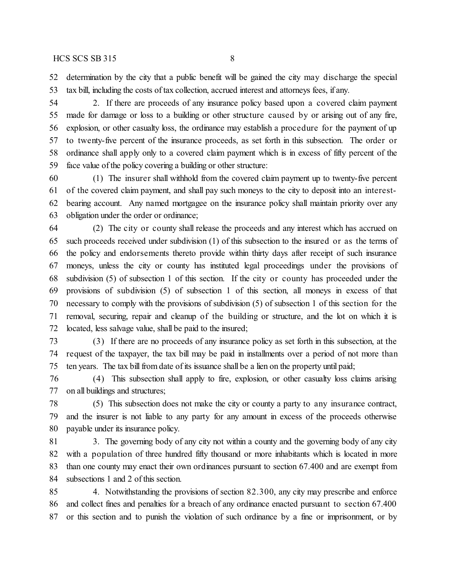determination by the city that a public benefit will be gained the city may discharge the special tax bill, including the costs of tax collection, accrued interest and attorneys fees, if any.

 2. If there are proceeds of any insurance policy based upon a covered claim payment made for damage or loss to a building or other structure caused by or arising out of any fire, explosion, or other casualty loss, the ordinance may establish a procedure for the payment of up to twenty-five percent of the insurance proceeds, as set forth in this subsection. The order or ordinance shall apply only to a covered claim payment which is in excess of fifty percent of the face value of the policy covering a building or other structure:

 (1) The insurer shall withhold from the covered claim payment up to twenty-five percent of the covered claim payment, and shall pay such moneys to the city to deposit into an interest- bearing account. Any named mortgagee on the insurance policy shall maintain priority over any obligation under the order or ordinance;

 (2) The city or county shall release the proceeds and any interest which has accrued on such proceeds received under subdivision (1) of this subsection to the insured or as the terms of the policy and endorsements thereto provide within thirty days after receipt of such insurance moneys, unless the city or county has instituted legal proceedings under the provisions of subdivision (5) of subsection 1 of this section. If the city or county has proceeded under the provisions of subdivision (5) of subsection 1 of this section, all moneys in excess of that necessary to comply with the provisions of subdivision (5) of subsection 1 of this section for the removal, securing, repair and cleanup of the building or structure, and the lot on which it is located, less salvage value, shall be paid to the insured;

 (3) If there are no proceeds of any insurance policy as set forth in this subsection, at the request of the taxpayer, the tax bill may be paid in installments over a period of not more than ten years. The tax bill from date of its issuance shall be a lien on the property until paid;

 (4) This subsection shall apply to fire, explosion, or other casualty loss claims arising on all buildings and structures;

 (5) This subsection does not make the city or county a party to any insurance contract, and the insurer is not liable to any party for any amount in excess of the proceeds otherwise payable under its insurance policy.

 3. The governing body of any city not within a county and the governing body of any city with a population of three hundred fifty thousand or more inhabitants which is located in more than one county may enact their own ordinances pursuant to section 67.400 and are exempt from subsections 1 and 2 of this section.

 4. Notwithstanding the provisions of section 82.300, any city may prescribe and enforce and collect fines and penalties for a breach of any ordinance enacted pursuant to section 67.400 or this section and to punish the violation of such ordinance by a fine or imprisonment, or by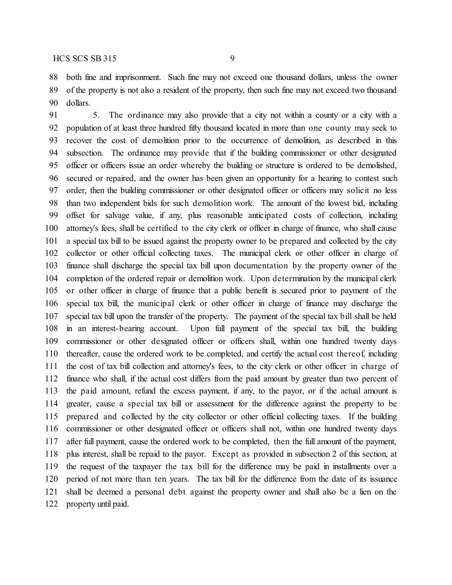both fine and imprisonment. Such fine may not exceed one thousand dollars, unless the owner of the property is not also a resident of the property, then such fine may not exceed two thousand dollars.

 5. The ordinance may also provide that a city not within a county or a city with a population of at least three hundred fifty thousand located in more than one county may seek to recover the cost of demolition prior to the occurrence of demolition, as described in this subsection. The ordinance may provide that if the building commissioner or other designated officer or officers issue an order whereby the building or structure is ordered to be demolished, secured or repaired, and the owner has been given an opportunity for a hearing to contest such order, then the building commissioner or other designated officer or officers may solicit no less than two independent bids for such demolition work. The amount of the lowest bid, including offset for salvage value, if any, plus reasonable anticipated costs of collection, including attorney's fees, shall be certified to the city clerk or officer in charge of finance, who shall cause a special tax bill to be issued against the property owner to be prepared and collected by the city collector or other official collecting taxes. The municipal clerk or other officer in charge of finance shall discharge the special tax bill upon documentation by the property owner of the completion of the ordered repair or demolition work. Upon determination by the municipal clerk or other officer in charge of finance that a public benefit is secured prior to payment of the special tax bill, the municipal clerk or other officer in charge of finance may discharge the special tax bill upon the transfer of the property. The payment of the special tax bill shall be held in an interest-bearing account. Upon full payment of the special tax bill, the building commissioner or other designated officer or officers shall, within one hundred twenty days thereafter, cause the ordered work to be completed, and certify the actual cost thereof, including the cost of tax bill collection and attorney's fees, to the city clerk or other officer in charge of finance who shall, if the actual cost differs from the paid amount by greater than two percent of the paid amount, refund the excess payment, if any, to the payor, or if the actual amount is greater, cause a special tax bill or assessment for the difference against the property to be prepared and collected by the city collector or other official collecting taxes. If the building commissioner or other designated officer or officers shall not, within one hundred twenty days after full payment, cause the ordered work to be completed, then the full amount of the payment, plus interest, shall be repaid to the payor. Except as provided in subsection 2 of this section, at the request of the taxpayer the tax bill for the difference may be paid in installments over a period of not more than ten years. The tax bill for the difference from the date of its issuance shall be deemed a personal debt against the property owner and shall also be a lien on the property until paid.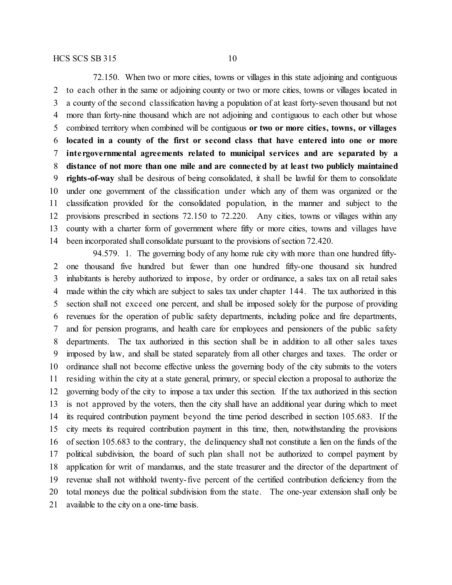72.150. When two or more cities, towns or villages in this state adjoining and contiguous to each other in the same or adjoining county or two or more cities, towns or villages located in a county of the second classification having a population of at least forty-seven thousand but not more than forty-nine thousand which are not adjoining and contiguous to each other but whose combined territory when combined will be contiguous **or two or more cities, towns, or villages located in a county of the first or second class that have entered into one or more inte rgovernmental agreements related to municipal services and are separated by a distance of not more than one mile and are connected by at least two publicly maintained rights-of-way** shall be desirous of being consolidated, it shall be lawful for them to consolidate under one government of the classification under which any of them was organized or the classification provided for the consolidated population, in the manner and subject to the provisions prescribed in sections 72.150 to 72.220. Any cities, towns or villages within any county with a charter form of government where fifty or more cities, towns and villages have been incorporated shall consolidate pursuant to the provisions of section 72.420.

94.579. 1. The governing body of any home rule city with more than one hundred fifty- one thousand five hundred but fewer than one hundred fifty-one thousand six hundred inhabitants is hereby authorized to impose, by order or ordinance, a sales tax on all retail sales made within the city which are subject to sales tax under chapter 144. The tax authorized in this section shall not exceed one percent, and shall be imposed solely for the purpose of providing revenues for the operation of public safety departments, including police and fire departments, and for pension programs, and health care for employees and pensioners of the public safety departments. The tax authorized in this section shall be in addition to all other sales taxes imposed by law, and shall be stated separately from all other charges and taxes. The order or ordinance shall not become effective unless the governing body of the city submits to the voters residing within the city at a state general, primary, or special election a proposal to authorize the governing body of the city to impose a tax under this section. If the tax authorized in this section is not approved by the voters, then the city shall have an additional year during which to meet its required contribution payment beyond the time period described in section 105.683. If the city meets its required contribution payment in this time, then, notwithstanding the provisions of section 105.683 to the contrary, the delinquency shall not constitute a lien on the funds of the political subdivision, the board of such plan shall not be authorized to compel payment by application for writ of mandamus, and the state treasurer and the director of the department of revenue shall not withhold twenty-five percent of the certified contribution deficiency from the total moneys due the political subdivision from the state. The one-year extension shall only be available to the city on a one-time basis.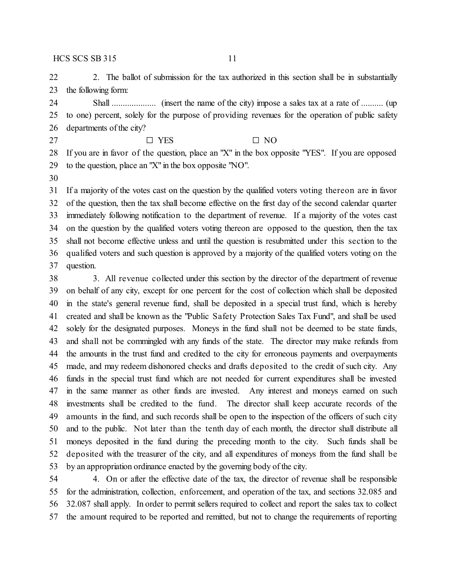22 2. The ballot of submission for the tax authorized in this section shall be in substantially the following form:

 Shall .................... (insert the name of the city) impose a sales tax at a rate of .......... (up to one) percent, solely for the purpose of providing revenues for the operation of public safety departments of the city?

27  $\square$  YES  $\square$  NO

 If you are in favor of the question, place an "X" in the box opposite "YES". If you are opposed to the question, place an "X" in the box opposite "NO".

 If a majority of the votes cast on the question by the qualified voters voting thereon are in favor of the question, then the tax shall become effective on the first day of the second calendar quarter immediately following notification to the department of revenue. If a majority of the votes cast on the question by the qualified voters voting thereon are opposed to the question, then the tax shall not become effective unless and until the question is resubmitted under this section to the qualified voters and such question is approved by a majority of the qualified voters voting on the question.

 3. All revenue collected under this section by the director of the department of revenue on behalf of any city, except for one percent for the cost of collection which shall be deposited in the state's general revenue fund, shall be deposited in a special trust fund, which is hereby created and shall be known as the "Public Safety Protection Sales Tax Fund", and shall be used solely for the designated purposes. Moneys in the fund shall not be deemed to be state funds, and shall not be commingled with any funds of the state. The director may make refunds from the amounts in the trust fund and credited to the city for erroneous payments and overpayments made, and may redeem dishonored checks and drafts deposited to the credit of such city. Any funds in the special trust fund which are not needed for current expenditures shall be invested in the same manner as other funds are invested. Any interest and moneys earned on such investments shall be credited to the fund. The director shall keep accurate records of the amounts in the fund, and such records shall be open to the inspection of the officers of such city and to the public. Not later than the tenth day of each month, the director shall distribute all moneys deposited in the fund during the preceding month to the city. Such funds shall be deposited with the treasurer of the city, and all expenditures of moneys from the fund shall be by an appropriation ordinance enacted by the governing body of the city.

 4. On or after the effective date of the tax, the director of revenue shall be responsible for the administration, collection, enforcement, and operation of the tax, and sections 32.085 and 32.087 shall apply. In order to permit sellers required to collect and report the sales tax to collect the amount required to be reported and remitted, but not to change the requirements of reporting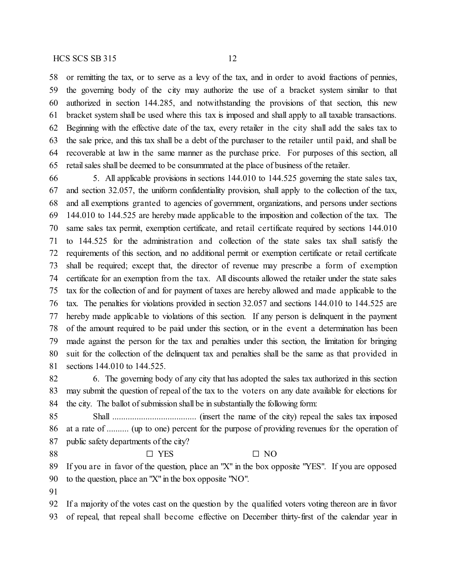or remitting the tax, or to serve as a levy of the tax, and in order to avoid fractions of pennies, the governing body of the city may authorize the use of a bracket system similar to that authorized in section 144.285, and notwithstanding the provisions of that section, this new bracket system shall be used where this tax is imposed and shall apply to all taxable transactions. Beginning with the effective date of the tax, every retailer in the city shall add the sales tax to the sale price, and this tax shall be a debt of the purchaser to the retailer until paid, and shall be recoverable at law in the same manner as the purchase price. For purposes of this section, all retail sales shall be deemed to be consummated at the place of business of the retailer.

 5. All applicable provisions in sections 144.010 to 144.525 governing the state sales tax, and section 32.057, the uniform confidentiality provision, shall apply to the collection of the tax, and all exemptions granted to agencies of government, organizations, and persons under sections 144.010 to 144.525 are hereby made applicable to the imposition and collection of the tax. The same sales tax permit, exemption certificate, and retail certificate required by sections 144.010 to 144.525 for the administration and collection of the state sales tax shall satisfy the requirements of this section, and no additional permit or exemption certificate or retail certificate shall be required; except that, the director of revenue may prescribe a form of exemption certificate for an exemption from the tax. All discounts allowed the retailer under the state sales tax for the collection of and for payment of taxes are hereby allowed and made applicable to the tax. The penalties for violations provided in section 32.057 and sections 144.010 to 144.525 are hereby made applicable to violations of this section. If any person is delinquent in the payment of the amount required to be paid under this section, or in the event a determination has been made against the person for the tax and penalties under this section, the limitation for bringing suit for the collection of the delinquent tax and penalties shall be the same as that provided in sections 144.010 to 144.525.

 6. The governing body of any city that has adopted the sales tax authorized in this section may submit the question of repeal of the tax to the voters on any date available for elections for the city. The ballot of submission shall be in substantially the following form:

 Shall ...................................... (insert the name of the city) repeal the sales tax imposed at a rate of .......... (up to one) percent for the purpose of providing revenues for the operation of 87 public safety departments of the city?

## 88  $\square$  YES  $\square$  NO

 If you are in favor of the question, place an "X" in the box opposite "YES". If you are opposed to the question, place an "X" in the box opposite "NO".

 If a majority of the votes cast on the question by the qualified voters voting thereon are in favor of repeal, that repeal shall become effective on December thirty-first of the calendar year in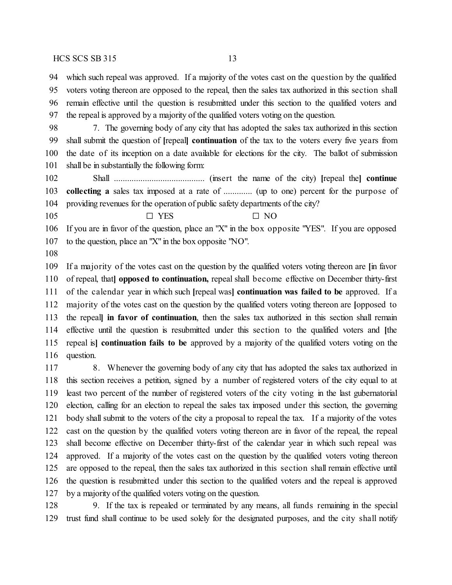which such repeal was approved. If a majority of the votes cast on the question by the qualified voters voting thereon are opposed to the repeal, then the sales tax authorized in this section shall remain effective until the question is resubmitted under this section to the qualified voters and the repeal is approved by a majority of the qualified voters voting on the question.

 7. The governing body of any city that has adopted the sales tax authorized in this section shall submit the question of **[**repeal**] continuation** of the tax to the voters every five years from the date of its inception on a date available for elections for the city. The ballot of submission shall be in substantially the following form:

 Shall ......................................... (insert the name of the city) **[**repeal the**] continue collecting a** sales tax imposed at a rate of ............. (up to one) percent for the purpose of providing revenues for the operation of public safety departments of the city?

 $\Box$  YES  $\Box$  NO

 If you are in favor of the question, place an "X" in the box opposite "YES". If you are opposed to the question, place an "X" in the box opposite "NO".

 If a majority of the votes cast on the question by the qualified voters voting thereon are **[**in favor of repeal, that**] opposed to continuation,** repeal shall become effective on December thirty-first of the calendar year in which such **[**repeal was**] continuation was failed to be** approved. If a majority of the votes cast on the question by the qualified voters voting thereon are **[**opposed to the repeal**] in favor of continuation**, then the sales tax authorized in this section shall remain effective until the question is resubmitted under this section to the qualified voters and **[**the repeal is**] continuation fails to be** approved by a majority of the qualified voters voting on the question.

 8. Whenever the governing body of any city that has adopted the sales tax authorized in this section receives a petition, signed by a number of registered voters of the city equal to at least two percent of the number of registered voters of the city voting in the last gubernatorial election, calling for an election to repeal the sales tax imposed under this section, the governing body shall submit to the voters of the city a proposal to repeal the tax. If a majority of the votes cast on the question by the qualified voters voting thereon are in favor of the repeal, the repeal shall become effective on December thirty-first of the calendar year in which such repeal was approved. If a majority of the votes cast on the question by the qualified voters voting thereon are opposed to the repeal, then the sales tax authorized in this section shall remain effective until the question is resubmitted under this section to the qualified voters and the repeal is approved by a majority of the qualified voters voting on the question.

 9. If the tax is repealed or terminated by any means, all funds remaining in the special trust fund shall continue to be used solely for the designated purposes, and the city shall notify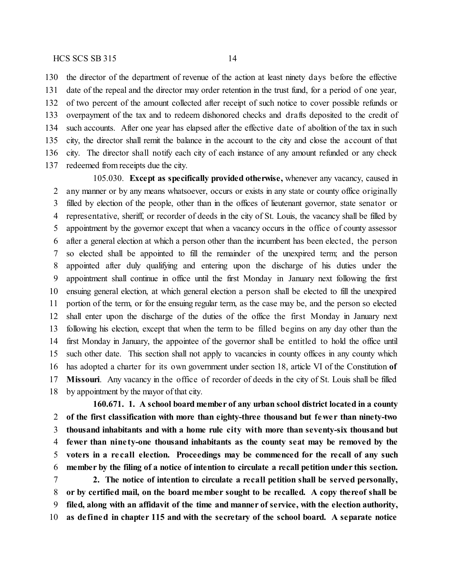the director of the department of revenue of the action at least ninety days before the effective date of the repeal and the director may order retention in the trust fund, for a period of one year, of two percent of the amount collected after receipt of such notice to cover possible refunds or overpayment of the tax and to redeem dishonored checks and drafts deposited to the credit of such accounts. After one year has elapsed after the effective date of abolition of the tax in such city, the director shall remit the balance in the account to the city and close the account of that city. The director shall notify each city of each instance of any amount refunded or any check redeemed from receipts due the city.

105.030. **Except as specifically provided otherwise,** whenever any vacancy, caused in any manner or by any means whatsoever, occurs or exists in any state or county office originally filled by election of the people, other than in the offices of lieutenant governor, state senator or representative, sheriff, or recorder of deeds in the city of St. Louis, the vacancy shall be filled by appointment by the governor except that when a vacancy occurs in the office of county assessor after a general election at which a person other than the incumbent has been elected, the person so elected shall be appointed to fill the remainder of the unexpired term; and the person appointed after duly qualifying and entering upon the discharge of his duties under the appointment shall continue in office until the first Monday in January next following the first ensuing general election, at which general election a person shall be elected to fill the unexpired portion of the term, or for the ensuing regular term, as the case may be, and the person so elected shall enter upon the discharge of the duties of the office the first Monday in January next following his election, except that when the term to be filled begins on any day other than the first Monday in January, the appointee of the governor shall be entitled to hold the office until such other date. This section shall not apply to vacancies in county offices in any county which has adopted a charter for its own government under section 18, article VI of the Constitution **of Missouri**. Any vacancy in the office of recorder of deeds in the city of St. Louis shall be filled by appointment by the mayor of that city.

**160.671. 1. A school board member of any urban school district located in a county of the first classification with more than eighty-three thousand but fewe r than ninety-two thousand inhabitants and with a home rule city with more than seventy-six thousand but fewer than nine ty-one thousand inhabitants as the county seat may be removed by the voters in a re call election. Proceedings may be commenced for the recall of any such member by the filing of a notice of intention to circulate a recall petition under this section. 2. The notice of intention to circulate a recall petition shall be served personally,**

 **or by certified mail, on the board member sought to be recalled. A copy thereof shall be filed, along with an affidavit of the time and manner of service, with the election authority, as de fined in chapter 115 and with the secretary of the school board. A separate notice**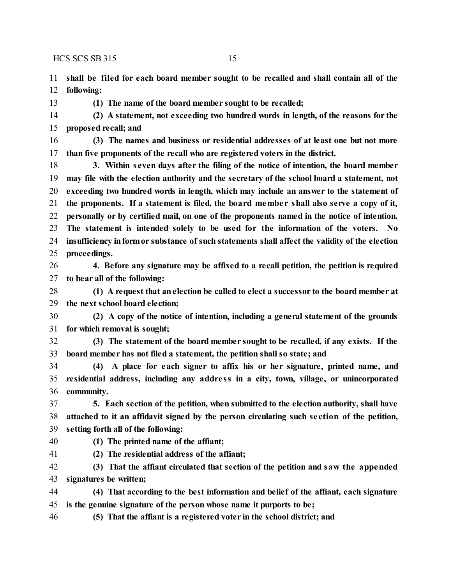**shall be filed for each board member sought to be recalled and shall contain all of the following:**

**(1) The name of the board member sought to be recalled;**

 **(2) A statement, not exceeding two hundred words in length, of the reasons for the proposed recall; and**

 **(3) The names and business or residential addresses of at least one but not more than five proponents of the recall who are registered voters in the district.**

 **3. Within seven days after the filing of the notice of intention, the board member may file with the election authority and the secretary of the school board a statement, not exceeding two hundred words in length, which may include an answer to the statement of the proponents. If a statement is filed, the board membe r shall also serve a copy of it, personally or by certified mail, on one of the proponents named in the notice of intention. The statement is intended solely to be used for the information of the voters. No insufficiency informor substance of such statements shall affect the validity of the election proceedings.**

 **4. Before any signature may be affixed to a recall petition, the petition is required to bear all of the following:**

 **(1) A request that anelection be called to elect a successor to the board member at the next school board election;**

 **(2) A copy of the notice of intention, including a general statement of the grounds for which removal is sought;**

 **(3) The statement of the board member sought to be recalled, if any exists. If the board member has not filed a statement, the petition shall so state; and**

 **(4) A place for each signer to affix his or her signature, printed name, and residential address, including any addre ss in a city, town, village, or unincorporated community.**

 **5. Each section of the petition, when submitted to the election authority, shall have attached to it an affidavit signed by the person circulating such se ction of the petition, setting forth all of the following:**

- 
- **(1) The printed name of the affiant;**
- **(2) The residential address of the affiant;**

 **(3) That the affiant circulated that section of the petition and saw the appended signatures be written;**

 **(4) That according to the best information and belief of the affiant, each signature is the genuine signature of the person whose name it purports to be;**

**(5) That the affiant is a registered voter in the school district; and**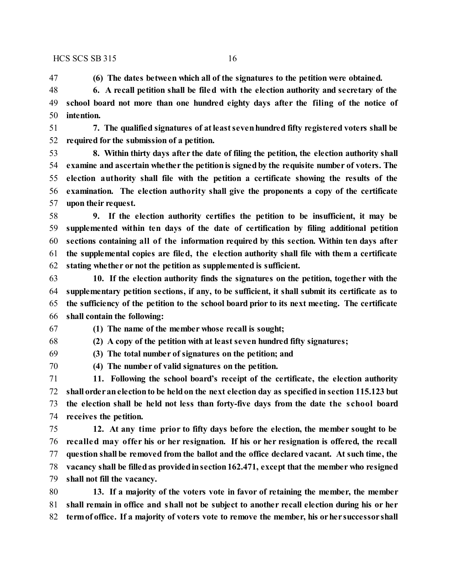**(6) The dates between which all of the signatures to the petition were obtained.**

 **6. A recall petition shall be filed with the election authority and secretary of the school board not more than one hundred eighty days after the filing of the notice of intention.**

 **7. The qualified signatures of atleastsevenhundred fifty registered voters shall be required for the submission of a petition.**

 **8. Within thirty days after the date of filing the petition, the election authority shall examine and ascertain whether the petitionis signedby the requisite number of voters. The election authority shall file with the petition a certificate showing the results of the examination. The election authority shall give the proponents a copy of the certificate upon their request.**

 **9. If the election authority certifies the petition to be insufficient, it may be supplemented within ten days of the date of certification by filing additional petition sections containing all of the information required by this section. Within ten days after the supplemental copies are filed, the e lection authority shall file with them a certificate stating whether or not the petition as supplemented is sufficient.**

 **10. If the election authority finds the signatures on the petition, together with the supplementary petition sections, if any, to be sufficient, it shall submit its certificate as to the sufficiency of the petition to the school board prior to its next meeting. The certificate shall contain the following:**

**(1) The name of the member whose recall is sought;**

**(2) A copy of the petition with at least seven hundred fifty signatures;**

**(3) The total number of signatures on the petition; and**

**(4) The number of valid signatures on the petition.**

 **11. Following the school board's receipt of the certificate, the election authority shall orderanelectionto be heldon the next election day as specified in section 115.123 but the election shall be held not less than forty-five days from the date the school board receives the petition.**

 **12. At any time prior to fifty days before the election, the member sought to be recalled may offer his or her resignation. If his or her resignation is offered, the recall question shall be removed from the ballot and the office declared vacant. At such time, the vacancy shall be filledas providedinsection162.471, except that the member who resigned shall not fill the vacancy.**

 **13. If a majority of the voters vote in favor of retaining the member, the member shall remain in office and shall not be subject to another recall election during his or her termof office. If a majority of voters vote to remove the member, his orher successor shall**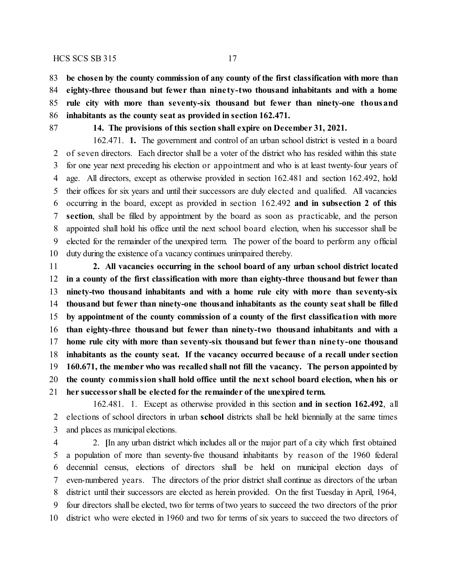**be chosen by the county commission of any county of the first classification with more than eighty-three thousand but fewer than nine ty-two thousand inhabitants and with a home rule city with more than seventy-six thousand but fewer than ninety-one thousand inhabitants as the county seat as provided in section 162.471.**

#### **14. The provisions of this section shall expire on December 31, 2021.**

162.471. **1.** The government and control of an urban school district is vested in a board of seven directors. Each director shall be a voter of the district who has resided within this state for one year next preceding his election or appointment and who is at least twenty-four years of age. All directors, except as otherwise provided in section 162.481 and section 162.492, hold their offices for six years and until their successors are duly elected and qualified. All vacancies occurring in the board, except as provided in section 162.492 **and in subsection 2 of this section**, shall be filled by appointment by the board as soon as practicable, and the person appointed shall hold his office until the next school board election, when his successor shall be elected for the remainder of the unexpired term. The power of the board to perform any official duty during the existence of a vacancy continues unimpaired thereby.

 **2. All vacancies occurring in the school board of any urban school district located in a county of the first classification with more than eighty-three thousand but fewer than ninety-two thousand inhabitants and with a home rule city with more than seventy-six thousand but fewer than ninety-one thousand inhabitants as the county seat shall be filled by appointment of the county commission of a county of the first classification with more than eighty-three thousand but fewer than ninety-two thousand inhabitants and with a home rule city with more than seventy-six thousand but fewer than nine ty-one thousand inhabitants as the county seat. If the vacancy occurred because of a recall under section 160.671, the member who was recalled shall not fill the vacancy. The person appointed by the county commission shall hold office until the next school board election, when his or her successor shall be elected for the remainder of the unexpired term.**

162.481. 1. Except as otherwise provided in this section **and in section 162.492**, all elections of school directors in urban **school** districts shall be held biennially at the same times and places as municipal elections.

 2. **[**In any urban district which includes all or the major part of a city which first obtained a population of more than seventy-five thousand inhabitants by reason of the 1960 federal decennial census, elections of directors shall be held on municipal election days of even-numbered years. The directors of the prior district shall continue as directors of the urban district until their successors are elected as herein provided. On the first Tuesday in April, 1964, four directors shall be elected, two for terms of two years to succeed the two directors of the prior district who were elected in 1960 and two for terms of six years to succeed the two directors of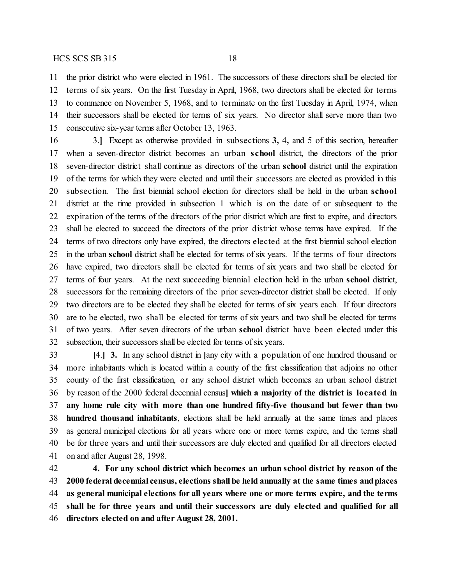the prior district who were elected in 1961. The successors of these directors shall be elected for terms of six years. On the first Tuesday in April, 1968, two directors shall be elected for terms to commence on November 5, 1968, and to terminate on the first Tuesday in April, 1974, when their successors shall be elected for terms of six years. No director shall serve more than two consecutive six-year terms after October 13, 1963.

 3.**]** Except as otherwise provided in subsections **3,** 4**,** and 5 of this section, hereafter when a seven-director district becomes an urban **school** district, the directors of the prior seven-director district shall continue as directors of the urban **school** district until the expiration of the terms for which they were elected and until their successors are elected as provided in this subsection. The first biennial school election for directors shall be held in the urban **school** district at the time provided in subsection 1 which is on the date of or subsequent to the expiration of the terms of the directors of the prior district which are first to expire, and directors shall be elected to succeed the directors of the prior district whose terms have expired. If the terms of two directors only have expired, the directors elected at the first biennial school election in the urban **school** district shall be elected for terms of six years. If the terms of four directors have expired, two directors shall be elected for terms of six years and two shall be elected for terms of four years. At the next succeeding biennial election held in the urban **school** district, successors for the remaining directors of the prior seven-director district shall be elected. If only two directors are to be elected they shall be elected for terms of six years each. If four directors are to be elected, two shall be elected for terms of six years and two shall be elected for terms of two years. After seven directors of the urban **school** district have been elected under this subsection, their successors shall be elected for terms of six years.

 **[**4.**] 3.** In any school district in **[**any city with a population of one hundred thousand or more inhabitants which is located within a county of the first classification that adjoins no other county of the first classification, or any school district which becomes an urban school district by reason of the 2000 federal decennial census**] which a majority of the district is located in any home rule city with more than one hundred fifty-five thousand but fewer than two hundred thousand inhabitants**, elections shall be held annually at the same times and places as general municipal elections for all years where one or more terms expire, and the terms shall be for three years and until their successors are duly elected and qualified for all directors elected on and after August 28, 1998.

 **4. For any school district which becomes an urban school district by reason of the 2000 federal decennial census, elections shall be held annually at the same times andplaces as general municipal elections for all years where one or more terms expire, and the terms shall be for three years and until their successors are duly elected and qualified for all directors elected on and after August 28, 2001.**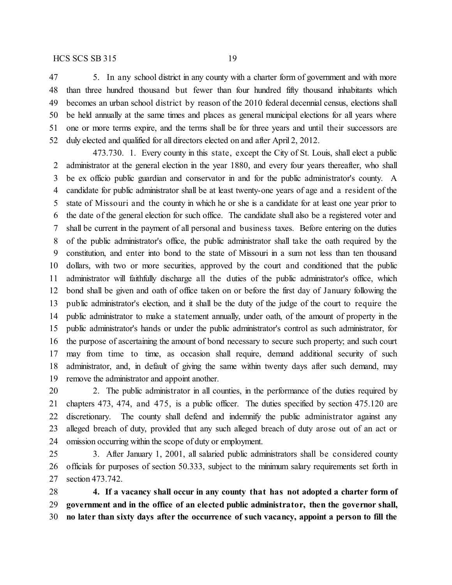5. In any school district in any county with a charter form of government and with more than three hundred thousand but fewer than four hundred fifty thousand inhabitants which becomes an urban school district by reason of the 2010 federal decennial census, elections shall be held annually at the same times and places as general municipal elections for all years where one or more terms expire, and the terms shall be for three years and until their successors are duly elected and qualified for all directors elected on and after April 2, 2012.

473.730. 1. Every county in this state, except the City of St. Louis, shall elect a public administrator at the general election in the year 1880, and every four years thereafter, who shall be ex officio public guardian and conservator in and for the public administrator's county. A candidate for public administrator shall be at least twenty-one years of age and a resident of the state of Missouri and the county in which he or she is a candidate for at least one year prior to the date of the general election for such office. The candidate shall also be a registered voter and shall be current in the payment of all personal and business taxes. Before entering on the duties of the public administrator's office, the public administrator shall take the oath required by the constitution, and enter into bond to the state of Missouri in a sum not less than ten thousand dollars, with two or more securities, approved by the court and conditioned that the public administrator will faithfully discharge all the duties of the public administrator's office, which bond shall be given and oath of office taken on or before the first day of January following the public administrator's election, and it shall be the duty of the judge of the court to require the public administrator to make a statement annually, under oath, of the amount of property in the public administrator's hands or under the public administrator's control as such administrator, for the purpose of ascertaining the amount of bond necessary to secure such property; and such court may from time to time, as occasion shall require, demand additional security of such administrator, and, in default of giving the same within twenty days after such demand, may remove the administrator and appoint another.

 2. The public administrator in all counties, in the performance of the duties required by chapters 473, 474, and 475, is a public officer. The duties specified by section 475.120 are discretionary. The county shall defend and indemnify the public administrator against any alleged breach of duty, provided that any such alleged breach of duty arose out of an act or omission occurring within the scope of duty or employment.

 3. After January 1, 2001, all salaried public administrators shall be considered county officials for purposes of section 50.333, subject to the minimum salary requirements set forth in section 473.742.

 **4. If a vacancy shall occur in any county that has not adopted a charter form of government and in the office of an elected public administrator, then the governor shall, no later than sixty days after the occurrence of such vacancy, appoint a person to fill the**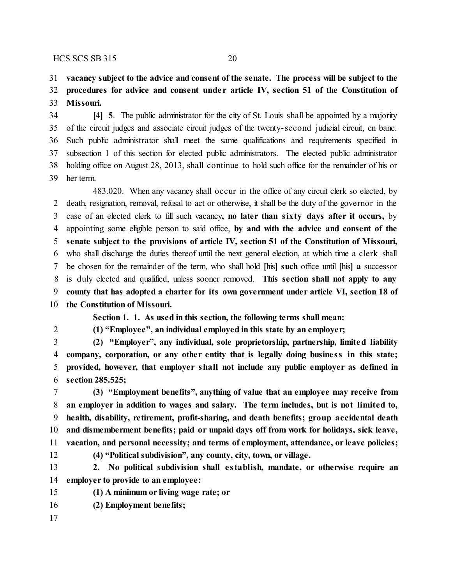#### **vacancy subject to the advice and consent of the senate. The process will be subject to the**

## **procedures for advice and consent unde r article IV, section 51 of the Constitution of Missouri.**

 **[**4**] 5**. The public administrator for the city of St. Louis shall be appointed by a majority of the circuit judges and associate circuit judges of the twenty-second judicial circuit, en banc. Such public administrator shall meet the same qualifications and requirements specified in subsection 1 of this section for elected public administrators. The elected public administrator holding office on August 28, 2013, shall continue to hold such office for the remainder of his or her term.

483.020. When any vacancy shall occur in the office of any circuit clerk so elected, by death, resignation, removal, refusal to act or otherwise, it shall be the duty of the governor in the case of an elected clerk to fill such vacancy**, no later than sixty days after it occurs,** by appointing some eligible person to said office, **by and with the advice and consent of the senate subject to the provisions of article IV, section 51 of the Constitution of Missouri,** who shall discharge the duties thereof until the next general election, at which time a clerk shall be chosen for the remainder of the term, who shall hold **[**his**] such** office until **[**his**] a** successor is duly elected and qualified, unless sooner removed. **This section shall not apply to any county that has adopted a charter for its own government under article VI, section 18 of the Constitution of Missouri.**

**Section 1. 1. As used in this section, the following terms shall mean:**

**(1) "Employee", an individual employed in this state by an employer;**

 **(2) "Employer", any individual, sole proprietorship, partnership, limited liability company, corporation, or any other entity that is legally doing busine ss in this state; provided, however, that employer shall not include any public employer as defined in section 285.525;**

 **(3) "Employment benefits", anything of value that an employee may receive from an employer in addition to wages and salary. The term includes, but is not limited to, health, disability, retirement, profit-sharing, and death benefits; group accidental death and dismemberment benefits; paid or unpaid days off from work for holidays, sick leave, vacation, and personal necessity; and terms of employment, attendance, or leave policies;**

**(4) "Political subdivision", any county, city, town, or village.**

 **2. No political subdivision shall e stablish, mandate, or otherwise require an employer to provide to an employee:**

**(1) A minimum or living wage rate; or**

- **(2) Employment benefits;**
-